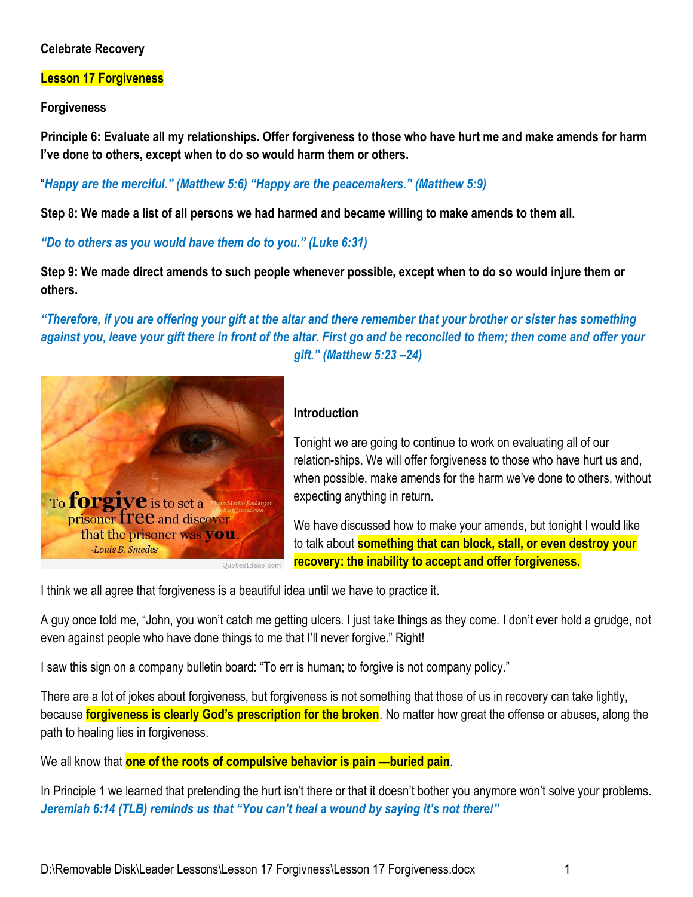### **Celebrate Recovery**

#### **Lesson 17 Forgiveness**

**Forgiveness** 

**Principle 6: Evaluate all my relationships. Offer forgiveness to those who have hurt me and make amends for harm I've done to others, except when to do so would harm them or others.** 

"*Happy are the merciful." (Matthew 5:6) "Happy are the peacemakers." (Matthew 5:9)* 

**Step 8: We made a list of all persons we had harmed and became willing to make amends to them all.** 

*"Do to others as you would have them do to you." (Luke 6:31)* 

**Step 9: We made direct amends to such people whenever possible, except when to do so would injure them or others.** 

*"Therefore, if you are offering your gift at the altar and there remember that your brother or sister has something against you, leave your gift there in front of the altar. First go and be reconciled to them; then come and offer your gift." (Matthew 5:23 –24)* 



#### **Introduction**

Tonight we are going to continue to work on evaluating all of our relation-ships. We will offer forgiveness to those who have hurt us and, when possible, make amends for the harm we've done to others, without expecting anything in return.

We have discussed how to make your amends, but tonight I would like to talk about **something that can block, stall, or even destroy your recovery: the inability to accept and offer forgiveness.**

I think we all agree that forgiveness is a beautiful idea until we have to practice it.

A guy once told me, "John, you won't catch me getting ulcers. I just take things as they come. I don't ever hold a grudge, not even against people who have done things to me that I'll never forgive." Right!

I saw this sign on a company bulletin board: "To err is human; to forgive is not company policy."

There are a lot of jokes about forgiveness, but forgiveness is not something that those of us in recovery can take lightly, because **forgiveness is clearly God's prescription for the broken**. No matter how great the offense or abuses, along the path to healing lies in forgiveness.

We all know that **one of the roots of compulsive behavior is pain —buried pain**.

In Principle 1 we learned that pretending the hurt isn't there or that it doesn't bother you anymore won't solve your problems. *Jeremiah 6:14 (TLB) reminds us that "You can't heal a wound by saying it's not there!"*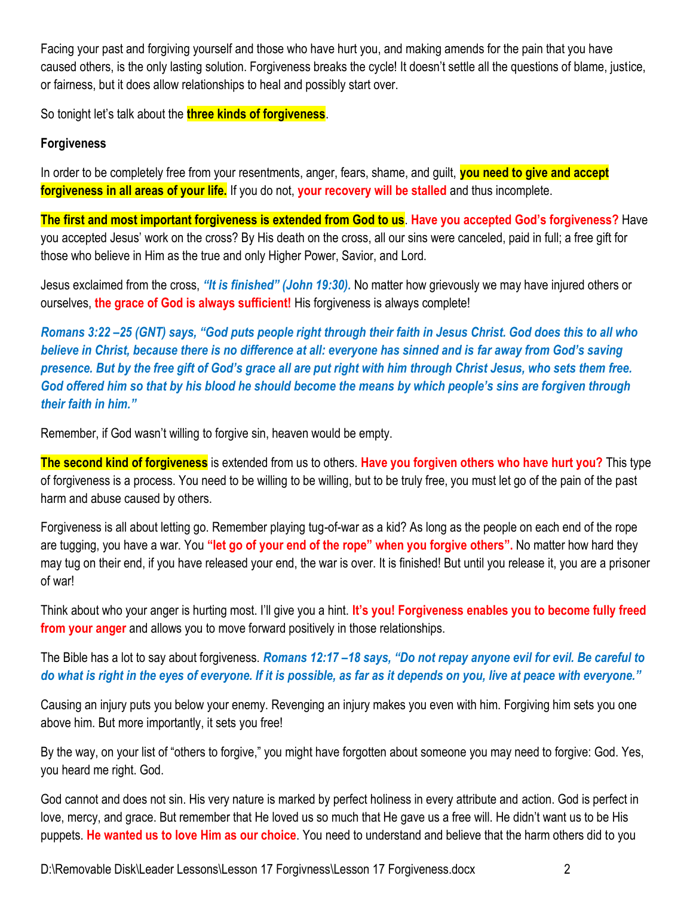Facing your past and forgiving yourself and those who have hurt you, and making amends for the pain that you have caused others, is the only lasting solution. Forgiveness breaks the cycle! It doesn't settle all the questions of blame, justice, or fairness, but it does allow relationships to heal and possibly start over.

So tonight let's talk about the **three kinds of forgiveness**.

### **Forgiveness**

In order to be completely free from your resentments, anger, fears, shame, and guilt, **you need to give and accept forgiveness in all areas of your life.** If you do not, **your recovery will be stalled** and thus incomplete.

**The first and most important forgiveness is extended from God to us**. **Have you accepted God's forgiveness?** Have you accepted Jesus' work on the cross? By His death on the cross, all our sins were canceled, paid in full; a free gift for those who believe in Him as the true and only Higher Power, Savior, and Lord.

Jesus exclaimed from the cross, *"It is finished" (John 19:30).* No matter how grievously we may have injured others or ourselves, **the grace of God is always sufficient!** His forgiveness is always complete!

*Romans 3:22 –25 (GNT) says, "God puts people right through their faith in Jesus Christ. God does this to all who believe in Christ, because there is no difference at all: everyone has sinned and is far away from God's saving presence. But by the free gift of God's grace all are put right with him through Christ Jesus, who sets them free. God offered him so that by his blood he should become the means by which people's sins are forgiven through their faith in him."* 

Remember, if God wasn't willing to forgive sin, heaven would be empty.

**The second kind of forgiveness** is extended from us to others. **Have you forgiven others who have hurt you?** This type of forgiveness is a process. You need to be willing to be willing, but to be truly free, you must let go of the pain of the past harm and abuse caused by others.

Forgiveness is all about letting go. Remember playing tug-of-war as a kid? As long as the people on each end of the rope are tugging, you have a war. You **"let go of your end of the rope" when you forgive others".** No matter how hard they may tug on their end, if you have released your end, the war is over. It is finished! But until you release it, you are a prisoner of war!

Think about who your anger is hurting most. I'll give you a hint. **It's you! Forgiveness enables you to become fully freed from your anger** and allows you to move forward positively in those relationships.

The Bible has a lot to say about forgiveness. *Romans 12:17 –18 says, "Do not repay anyone evil for evil. Be careful to do what is right in the eyes of everyone. If it is possible, as far as it depends on you, live at peace with everyone."*

Causing an injury puts you below your enemy. Revenging an injury makes you even with him. Forgiving him sets you one above him. But more importantly, it sets you free!

By the way, on your list of "others to forgive," you might have forgotten about someone you may need to forgive: God. Yes, you heard me right. God.

God cannot and does not sin. His very nature is marked by perfect holiness in every attribute and action. God is perfect in love, mercy, and grace. But remember that He loved us so much that He gave us a free will. He didn't want us to be His puppets. **He wanted us to love Him as our choice**. You need to understand and believe that the harm others did to you

D:\Removable Disk\Leader Lessons\Lesson 17 Forgivness\Lesson 17 Forgiveness.docx 2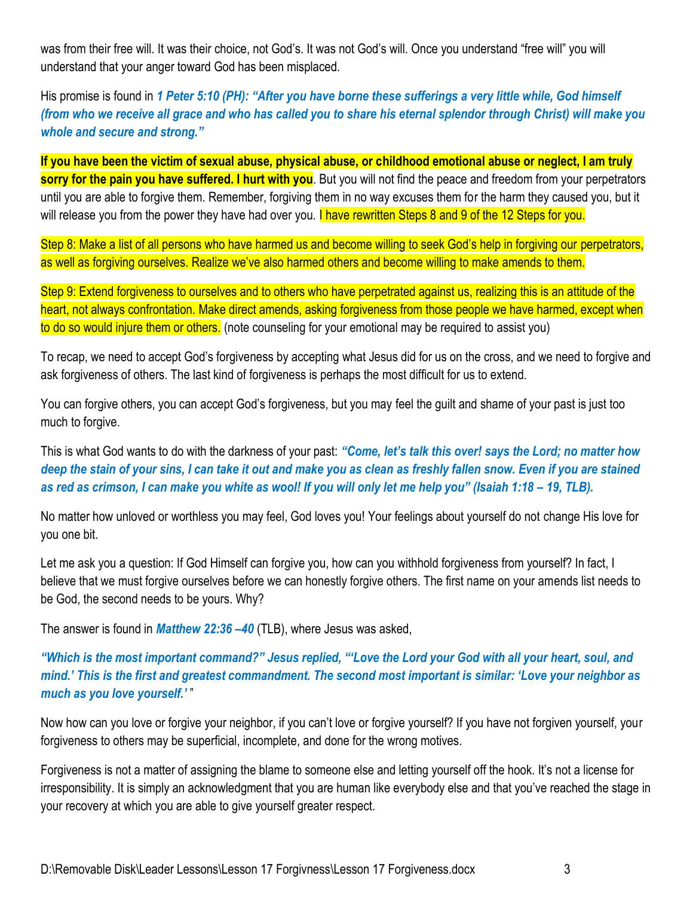was from their free will. It was their choice, not God's. It was not God's will. Once you understand "free will" you will understand that your anger toward God has been misplaced.

His promise is found in *1 Peter 5:10 (PH): "After you have borne these sufferings a very little while, God himself (from who we receive all grace and who has called you to share his eternal splendor through Christ) will make you whole and secure and strong."* 

**If you have been the victim of sexual abuse, physical abuse, or childhood emotional abuse or neglect, I am truly sorry for the pain you have suffered. I hurt with you**. But you will not find the peace and freedom from your perpetrators until you are able to forgive them. Remember, forgiving them in no way excuses them for the harm they caused you, but it will release you from the power they have had over you. I have rewritten Steps 8 and 9 of the 12 Steps for you.

Step 8: Make a list of all persons who have harmed us and become willing to seek God's help in forgiving our perpetrators, as well as forgiving ourselves. Realize we've also harmed others and become willing to make amends to them.

Step 9: Extend forgiveness to ourselves and to others who have perpetrated against us, realizing this is an attitude of the heart, not always confrontation. Make direct amends, asking forgiveness from those people we have harmed, except when to do so would injure them or others. (note counseling for your emotional may be required to assist you)

To recap, we need to accept God's forgiveness by accepting what Jesus did for us on the cross, and we need to forgive and ask forgiveness of others. The last kind of forgiveness is perhaps the most difficult for us to extend.

You can forgive others, you can accept God's forgiveness, but you may feel the guilt and shame of your past is just too much to forgive.

This is what God wants to do with the darkness of your past: *"Come, let's talk this over! says the Lord; no matter how deep the stain of your sins, I can take it out and make you as clean as freshly fallen snow. Even if you are stained as red as crimson, I can make you white as wool! If you will only let me help you" (Isaiah 1:18 – 19, TLB).* 

No matter how unloved or worthless you may feel, God loves you! Your feelings about yourself do not change His love for you one bit.

Let me ask you a question: If God Himself can forgive you, how can you withhold forgiveness from yourself? In fact, I believe that we must forgive ourselves before we can honestly forgive others. The first name on your amends list needs to be God, the second needs to be yours. Why?

The answer is found in *Matthew 22:36 –40* (TLB), where Jesus was asked,

# *"Which is the most important command?" Jesus replied, "'Love the Lord your God with all your heart, soul, and mind.' This is the first and greatest commandment. The second most important is similar: 'Love your neighbor as much as you love yourself.'* "

Now how can you love or forgive your neighbor, if you can't love or forgive yourself? If you have not forgiven yourself, your forgiveness to others may be superficial, incomplete, and done for the wrong motives.

Forgiveness is not a matter of assigning the blame to someone else and letting yourself off the hook. It's not a license for irresponsibility. It is simply an acknowledgment that you are human like everybody else and that you've reached the stage in your recovery at which you are able to give yourself greater respect.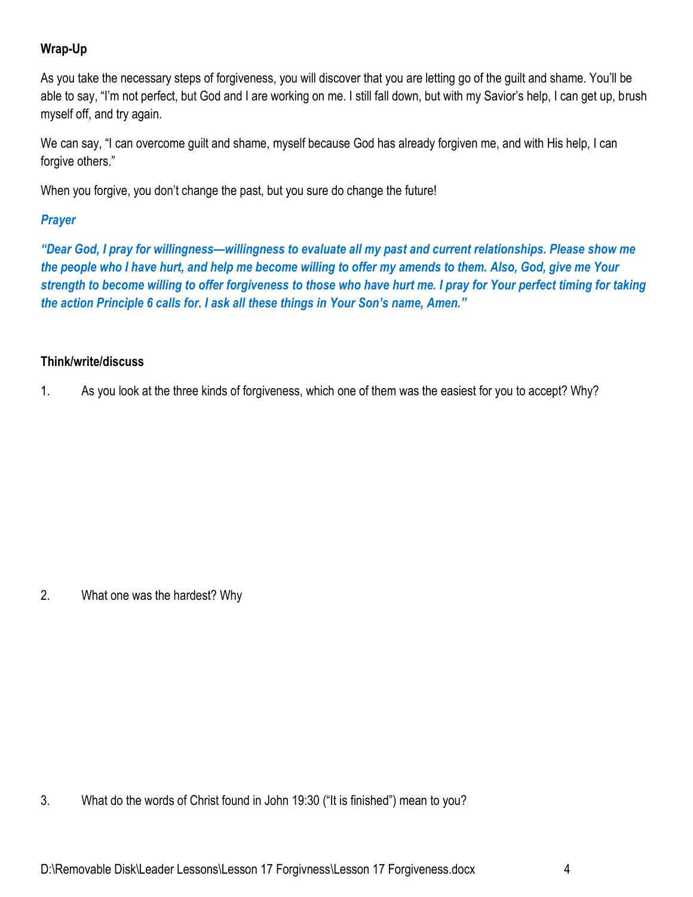# **Wrap-Up**

As you take the necessary steps of forgiveness, you will discover that you are letting go of the guilt and shame. You'll be able to say, "I'm not perfect, but God and I are working on me. I still fall down, but with my Savior's help, I can get up, brush myself off, and try again.

We can say, "I can overcome guilt and shame, myself because God has already forgiven me, and with His help, I can forgive others."

When you forgive, you don't change the past, but you sure do change the future!

# *Prayer*

*"Dear God, I pray for willingness—willingness to evaluate all my past and current relationships. Please show me the people who I have hurt, and help me become willing to offer my amends to them. Also, God, give me Your strength to become willing to offer forgiveness to those who have hurt me. I pray for Your perfect timing for taking the action Principle 6 calls for. I ask all these things in Your Son's name, Amen."*

### **Think/write/discuss**

1. As you look at the three kinds of forgiveness, which one of them was the easiest for you to accept? Why?

2. What one was the hardest? Why

3. What do the words of Christ found in John 19:30 ("It is finished") mean to you?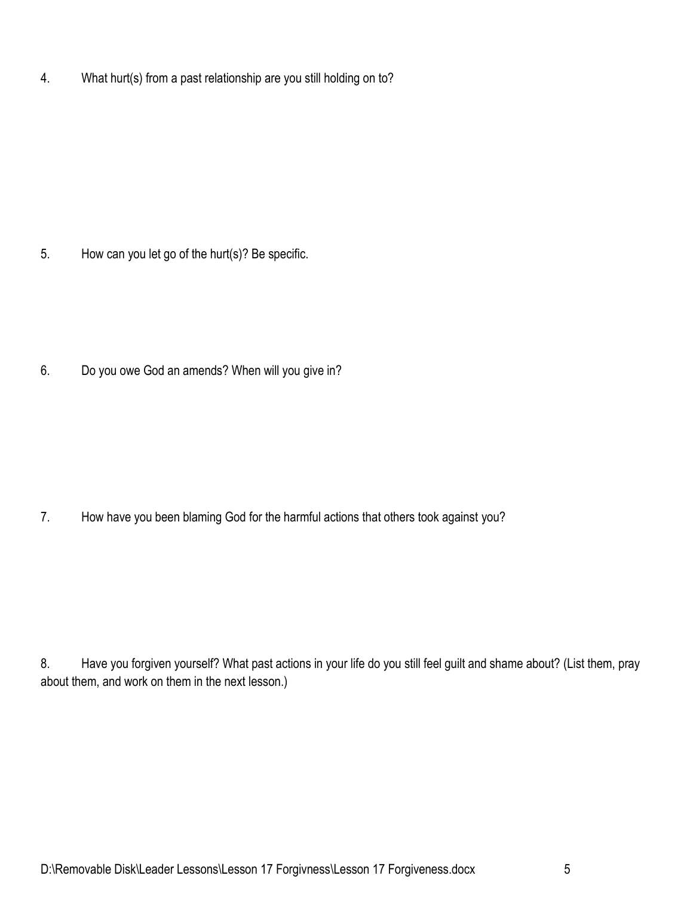4. What hurt(s) from a past relationship are you still holding on to?

5. How can you let go of the hurt(s)? Be specific.

6. Do you owe God an amends? When will you give in?

7. How have you been blaming God for the harmful actions that others took against you?

8. Have you forgiven yourself? What past actions in your life do you still feel guilt and shame about? (List them, pray about them, and work on them in the next lesson.)